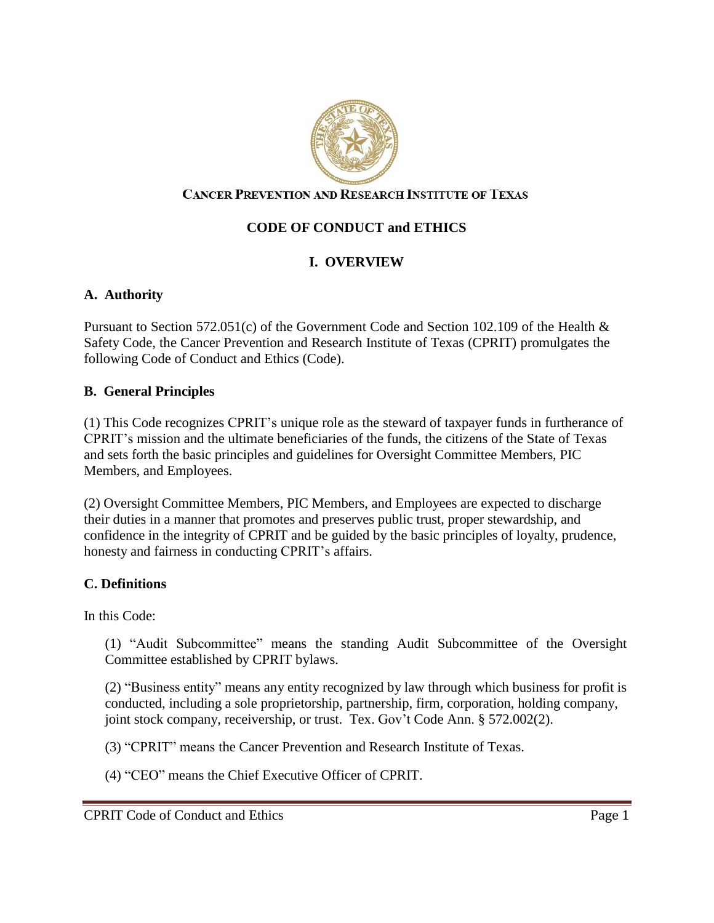

### **CANCER PREVENTION AND RESEARCH INSTITUTE OF TEXAS**

# **CODE OF CONDUCT and ETHICS**

# **I. OVERVIEW**

### **A. Authority**

Pursuant to Section 572.051(c) of the Government Code and Section 102.109 of the Health & Safety Code, the Cancer Prevention and Research Institute of Texas (CPRIT) promulgates the following Code of Conduct and Ethics (Code).

#### **B. General Principles**

(1) This Code recognizes CPRIT's unique role as the steward of taxpayer funds in furtherance of CPRIT's mission and the ultimate beneficiaries of the funds, the citizens of the State of Texas and sets forth the basic principles and guidelines for Oversight Committee Members, PIC Members, and Employees.

(2) Oversight Committee Members, PIC Members, and Employees are expected to discharge their duties in a manner that promotes and preserves public trust, proper stewardship, and confidence in the integrity of CPRIT and be guided by the basic principles of loyalty, prudence, honesty and fairness in conducting CPRIT's affairs.

#### **C. Definitions**

In this Code:

(1) "Audit Subcommittee" means the standing Audit Subcommittee of the Oversight Committee established by CPRIT bylaws.

(2) "Business entity" means any entity recognized by law through which business for profit is conducted, including a sole proprietorship, partnership, firm, corporation, holding company, joint stock company, receivership, or trust. Tex. Gov't Code Ann. § 572.002(2).

(3) "CPRIT" means the Cancer Prevention and Research Institute of Texas.

(4) "CEO" means the Chief Executive Officer of CPRIT.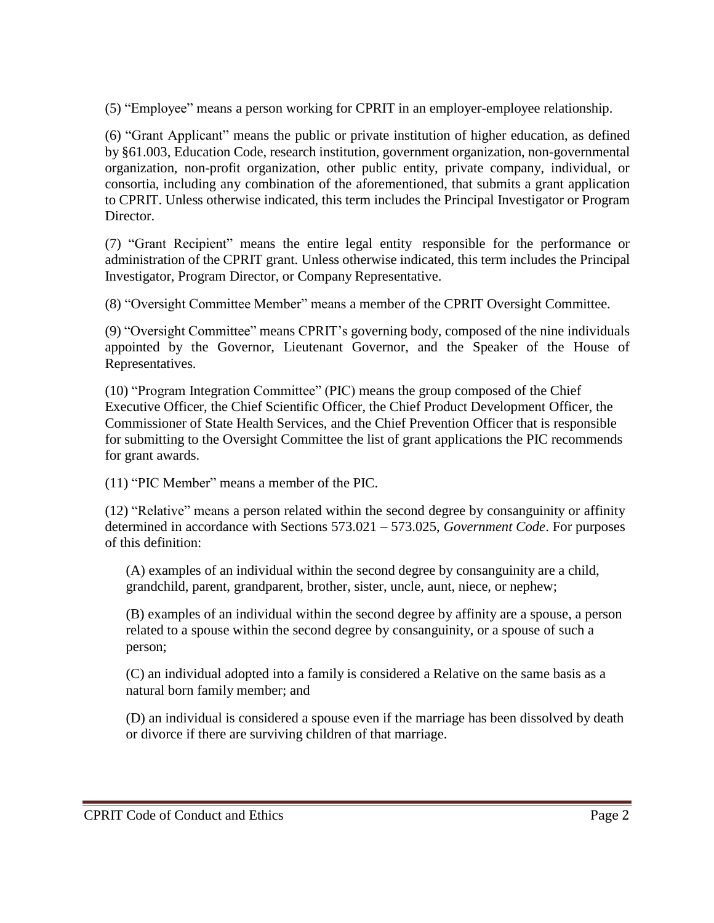(5) "Employee" means a person working for CPRIT in an employer-employee relationship.

(6) "Grant Applicant" means the public or private institution of higher education, as defined by §61.003, Education Code, research institution, government organization, non-governmental organization, non-profit organization, other public entity, private company, individual, or consortia, including any combination of the aforementioned, that submits a grant application to CPRIT. Unless otherwise indicated, this term includes the Principal Investigator or Program Director.

(7) "Grant Recipient" means the entire legal entity responsible for the performance or administration of the CPRIT grant. Unless otherwise indicated, this term includes the Principal Investigator, Program Director, or Company Representative.

(8) "Oversight Committee Member" means a member of the CPRIT Oversight Committee.

(9) "Oversight Committee" means CPRIT's governing body, composed of the nine individuals appointed by the Governor, Lieutenant Governor, and the Speaker of the House of Representatives.

(10) "Program Integration Committee" (PIC) means the group composed of the Chief Executive Officer, the Chief Scientific Officer, the Chief Product Development Officer, the Commissioner of State Health Services, and the Chief Prevention Officer that is responsible for submitting to the Oversight Committee the list of grant applications the PIC recommends for grant awards.

(11) "PIC Member" means a member of the PIC.

(12) "Relative" means a person related within the second degree by consanguinity or affinity determined in accordance with Sections 573.021 – 573.025, *Government Code*. For purposes of this definition:

(A) examples of an individual within the second degree by consanguinity are a child, grandchild, parent, grandparent, brother, sister, uncle, aunt, niece, or nephew;

(B) examples of an individual within the second degree by affinity are a spouse, a person related to a spouse within the second degree by consanguinity, or a spouse of such a person;

(C) an individual adopted into a family is considered a Relative on the same basis as a natural born family member; and

(D) an individual is considered a spouse even if the marriage has been dissolved by death or divorce if there are surviving children of that marriage.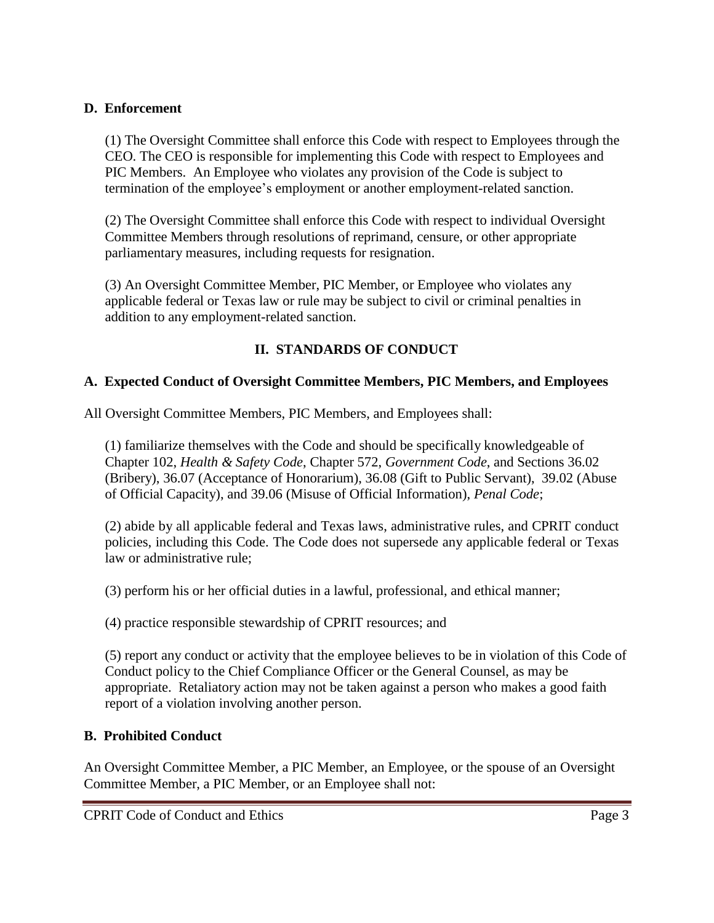### **D. Enforcement**

(1) The Oversight Committee shall enforce this Code with respect to Employees through the CEO. The CEO is responsible for implementing this Code with respect to Employees and PIC Members. An Employee who violates any provision of the Code is subject to termination of the employee's employment or another employment-related sanction.

(2) The Oversight Committee shall enforce this Code with respect to individual Oversight Committee Members through resolutions of reprimand, censure, or other appropriate parliamentary measures, including requests for resignation.

(3) An Oversight Committee Member, PIC Member, or Employee who violates any applicable federal or Texas law or rule may be subject to civil or criminal penalties in addition to any employment-related sanction.

# **II. STANDARDS OF CONDUCT**

## **A. Expected Conduct of Oversight Committee Members, PIC Members, and Employees**

All Oversight Committee Members, PIC Members, and Employees shall:

(1) familiarize themselves with the Code and should be specifically knowledgeable of Chapter 102, *Health & Safety Code*, Chapter 572, *Government Code*, and Sections 36.02 (Bribery), 36.07 (Acceptance of Honorarium), 36.08 (Gift to Public Servant), 39.02 (Abuse of Official Capacity), and 39.06 (Misuse of Official Information), *Penal Code*;

(2) abide by all applicable federal and Texas laws, administrative rules, and CPRIT conduct policies, including this Code. The Code does not supersede any applicable federal or Texas law or administrative rule;

(3) perform his or her official duties in a lawful, professional, and ethical manner;

(4) practice responsible stewardship of CPRIT resources; and

(5) report any conduct or activity that the employee believes to be in violation of this Code of Conduct policy to the Chief Compliance Officer or the General Counsel, as may be appropriate. Retaliatory action may not be taken against a person who makes a good faith report of a violation involving another person.

## **B. Prohibited Conduct**

An Oversight Committee Member, a PIC Member, an Employee, or the spouse of an Oversight Committee Member, a PIC Member, or an Employee shall not: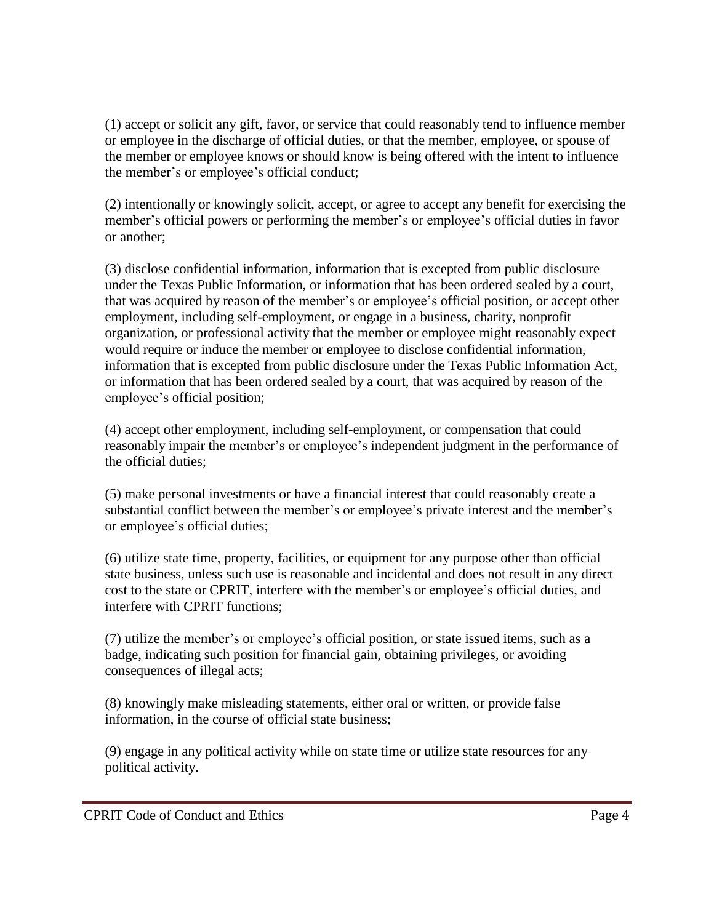(1) accept or solicit any gift, favor, or service that could reasonably tend to influence member or employee in the discharge of official duties, or that the member, employee, or spouse of the member or employee knows or should know is being offered with the intent to influence the member's or employee's official conduct;

(2) intentionally or knowingly solicit, accept, or agree to accept any benefit for exercising the member's official powers or performing the member's or employee's official duties in favor or another;

(3) disclose confidential information, information that is excepted from public disclosure under the Texas Public Information, or information that has been ordered sealed by a court, that was acquired by reason of the member's or employee's official position, or accept other employment, including self-employment, or engage in a business, charity, nonprofit organization, or professional activity that the member or employee might reasonably expect would require or induce the member or employee to disclose confidential information, information that is excepted from public disclosure under the Texas Public Information Act, or information that has been ordered sealed by a court, that was acquired by reason of the employee's official position;

(4) accept other employment, including self-employment, or compensation that could reasonably impair the member's or employee's independent judgment in the performance of the official duties;

(5) make personal investments or have a financial interest that could reasonably create a substantial conflict between the member's or employee's private interest and the member's or employee's official duties;

(6) utilize state time, property, facilities, or equipment for any purpose other than official state business, unless such use is reasonable and incidental and does not result in any direct cost to the state or CPRIT, interfere with the member's or employee's official duties, and interfere with CPRIT functions;

(7) utilize the member's or employee's official position, or state issued items, such as a badge, indicating such position for financial gain, obtaining privileges, or avoiding consequences of illegal acts;

(8) knowingly make misleading statements, either oral or written, or provide false information, in the course of official state business;

(9) engage in any political activity while on state time or utilize state resources for any political activity.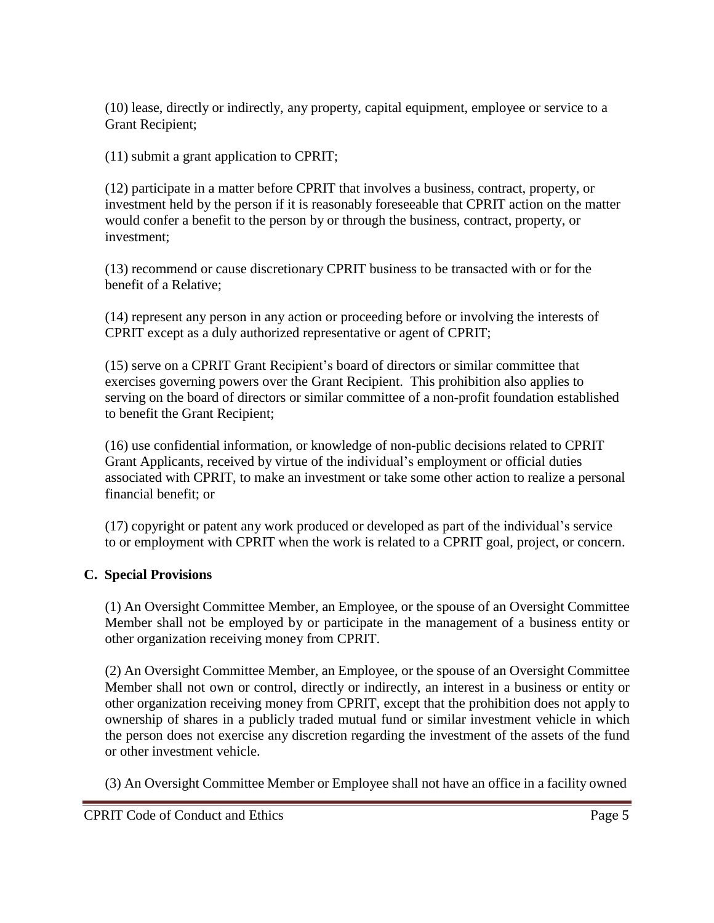(10) lease, directly or indirectly, any property, capital equipment, employee or service to a Grant Recipient;

(11) submit a grant application to CPRIT;

(12) participate in a matter before CPRIT that involves a business, contract, property, or investment held by the person if it is reasonably foreseeable that CPRIT action on the matter would confer a benefit to the person by or through the business, contract, property, or investment;

(13) recommend or cause discretionary CPRIT business to be transacted with or for the benefit of a Relative;

(14) represent any person in any action or proceeding before or involving the interests of CPRIT except as a duly authorized representative or agent of CPRIT;

(15) serve on a CPRIT Grant Recipient's board of directors or similar committee that exercises governing powers over the Grant Recipient. This prohibition also applies to serving on the board of directors or similar committee of a non-profit foundation established to benefit the Grant Recipient;

(16) use confidential information, or knowledge of non-public decisions related to CPRIT Grant Applicants, received by virtue of the individual's employment or official duties associated with CPRIT, to make an investment or take some other action to realize a personal financial benefit; or

(17) copyright or patent any work produced or developed as part of the individual's service to or employment with CPRIT when the work is related to a CPRIT goal, project, or concern.

# **C. Special Provisions**

(1) An Oversight Committee Member, an Employee, or the spouse of an Oversight Committee Member shall not be employed by or participate in the management of a business entity or other organization receiving money from CPRIT.

(2) An Oversight Committee Member, an Employee, or the spouse of an Oversight Committee Member shall not own or control, directly or indirectly, an interest in a business or entity or other organization receiving money from CPRIT, except that the prohibition does not apply to ownership of shares in a publicly traded mutual fund or similar investment vehicle in which the person does not exercise any discretion regarding the investment of the assets of the fund or other investment vehicle.

(3) An Oversight Committee Member or Employee shall not have an office in a facility owned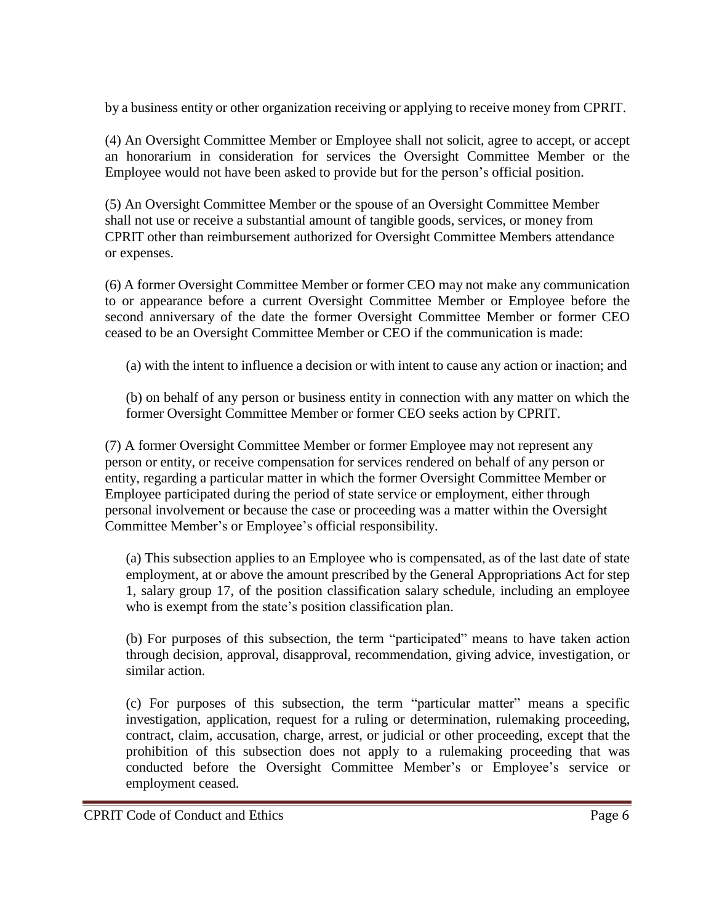by a business entity or other organization receiving or applying to receive money from CPRIT.

(4) An Oversight Committee Member or Employee shall not solicit, agree to accept, or accept an honorarium in consideration for services the Oversight Committee Member or the Employee would not have been asked to provide but for the person's official position.

(5) An Oversight Committee Member or the spouse of an Oversight Committee Member shall not use or receive a substantial amount of tangible goods, services, or money from CPRIT other than reimbursement authorized for Oversight Committee Members attendance or expenses.

(6) A former Oversight Committee Member or former CEO may not make any communication to or appearance before a current Oversight Committee Member or Employee before the second anniversary of the date the former Oversight Committee Member or former CEO ceased to be an Oversight Committee Member or CEO if the communication is made:

(a) with the intent to influence a decision or with intent to cause any action or inaction; and

(b) on behalf of any person or business entity in connection with any matter on which the former Oversight Committee Member or former CEO seeks action by CPRIT.

(7) A former Oversight Committee Member or former Employee may not represent any person or entity, or receive compensation for services rendered on behalf of any person or entity, regarding a particular matter in which the former Oversight Committee Member or Employee participated during the period of state service or employment, either through personal involvement or because the case or proceeding was a matter within the Oversight Committee Member's or Employee's official responsibility.

(a) This subsection applies to an Employee who is compensated, as of the last date of state employment, at or above the amount prescribed by the General Appropriations Act for step 1, salary group 17, of the position classification salary schedule, including an employee who is exempt from the state's position classification plan.

(b) For purposes of this subsection, the term "participated" means to have taken action through decision, approval, disapproval, recommendation, giving advice, investigation, or similar action.

(c) For purposes of this subsection, the term "particular matter" means a specific investigation, application, request for a ruling or determination, rulemaking proceeding, contract, claim, accusation, charge, arrest, or judicial or other proceeding, except that the prohibition of this subsection does not apply to a rulemaking proceeding that was conducted before the Oversight Committee Member's or Employee's service or employment ceased.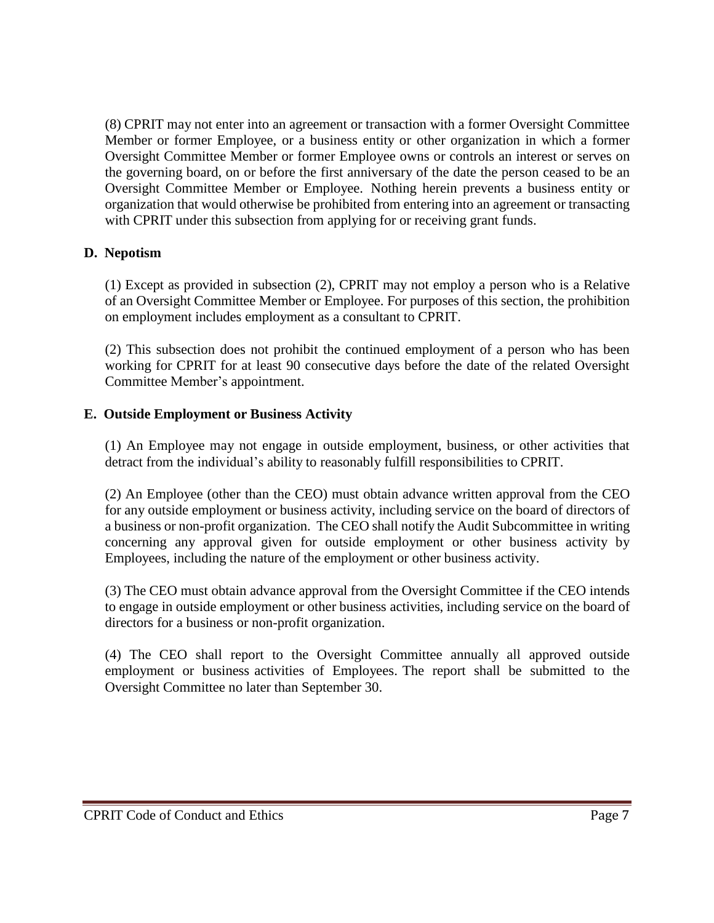(8) CPRIT may not enter into an agreement or transaction with a former Oversight Committee Member or former Employee, or a business entity or other organization in which a former Oversight Committee Member or former Employee owns or controls an interest or serves on the governing board, on or before the first anniversary of the date the person ceased to be an Oversight Committee Member or Employee. Nothing herein prevents a business entity or organization that would otherwise be prohibited from entering into an agreement or transacting with CPRIT under this subsection from applying for or receiving grant funds.

## **D. Nepotism**

(1) Except as provided in subsection (2), CPRIT may not employ a person who is a Relative of an Oversight Committee Member or Employee. For purposes of this section, the prohibition on employment includes employment as a consultant to CPRIT.

(2) This subsection does not prohibit the continued employment of a person who has been working for CPRIT for at least 90 consecutive days before the date of the related Oversight Committee Member's appointment.

### **E. Outside Employment or Business Activity**

(1) An Employee may not engage in outside employment, business, or other activities that detract from the individual's ability to reasonably fulfill responsibilities to CPRIT.

(2) An Employee (other than the CEO) must obtain advance written approval from the CEO for any outside employment or business activity, including service on the board of directors of a business or non-profit organization. The CEO shall notify the Audit Subcommittee in writing concerning any approval given for outside employment or other business activity by Employees, including the nature of the employment or other business activity.

(3) The CEO must obtain advance approval from the Oversight Committee if the CEO intends to engage in outside employment or other business activities, including service on the board of directors for a business or non-profit organization.

(4) The CEO shall report to the Oversight Committee annually all approved outside employment or business activities of Employees. The report shall be submitted to the Oversight Committee no later than September 30.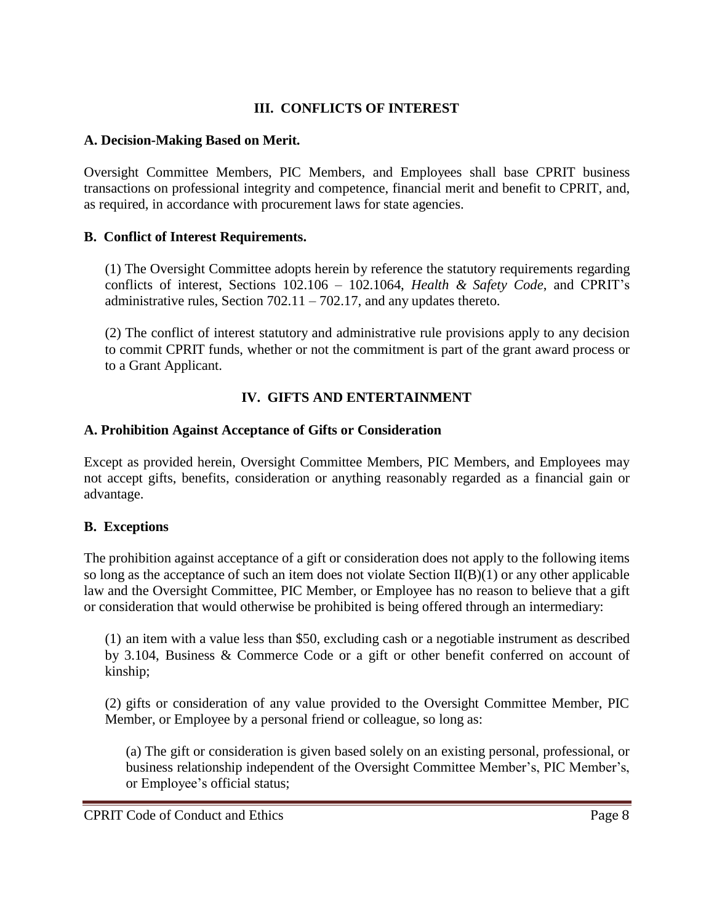## **III. CONFLICTS OF INTEREST**

### **A. Decision-Making Based on Merit.**

Oversight Committee Members, PIC Members, and Employees shall base CPRIT business transactions on professional integrity and competence, financial merit and benefit to CPRIT, and, as required, in accordance with procurement laws for state agencies.

### **B. Conflict of Interest Requirements.**

(1) The Oversight Committee adopts herein by reference the statutory requirements regarding conflicts of interest, Sections 102.106 – 102.1064, *Health & Safety Code*, and CPRIT's administrative rules, Section  $702.11 - 702.17$ , and any updates thereto.

(2) The conflict of interest statutory and administrative rule provisions apply to any decision to commit CPRIT funds, whether or not the commitment is part of the grant award process or to a Grant Applicant.

# **IV. GIFTS AND ENTERTAINMENT**

### **A. Prohibition Against Acceptance of Gifts or Consideration**

Except as provided herein, Oversight Committee Members, PIC Members, and Employees may not accept gifts, benefits, consideration or anything reasonably regarded as a financial gain or advantage.

## **B. Exceptions**

The prohibition against acceptance of a gift or consideration does not apply to the following items so long as the acceptance of such an item does not violate Section II(B)(1) or any other applicable law and the Oversight Committee, PIC Member, or Employee has no reason to believe that a gift or consideration that would otherwise be prohibited is being offered through an intermediary:

(1) an item with a value less than \$50, excluding cash or a negotiable instrument as described by 3.104, Business & Commerce Code or a gift or other benefit conferred on account of kinship;

(2) gifts or consideration of any value provided to the Oversight Committee Member, PIC Member, or Employee by a personal friend or colleague, so long as:

(a) The gift or consideration is given based solely on an existing personal, professional, or business relationship independent of the Oversight Committee Member's, PIC Member's, or Employee's official status;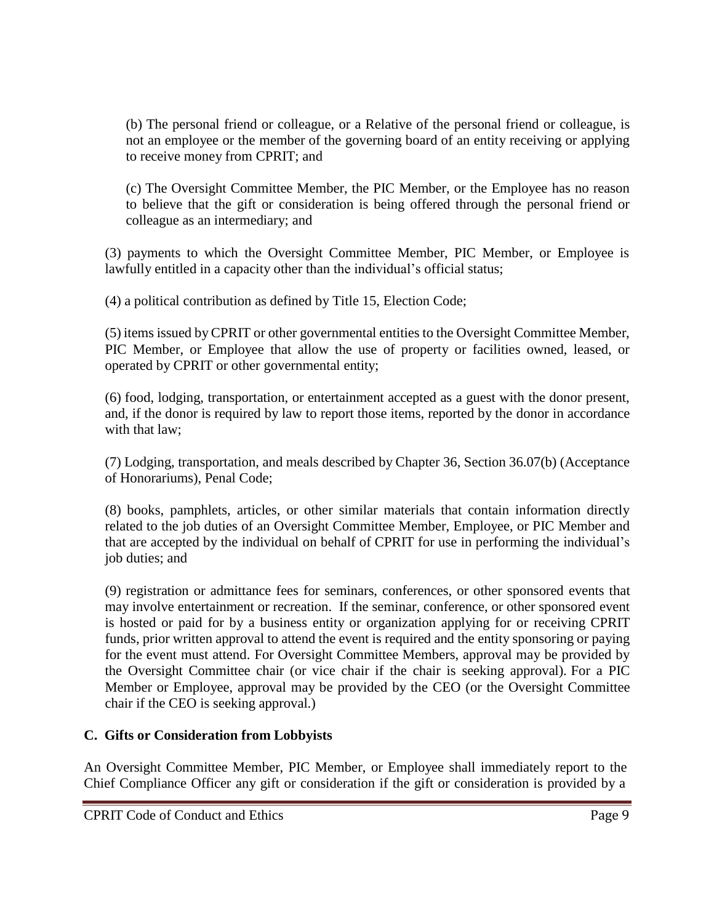(b) The personal friend or colleague, or a Relative of the personal friend or colleague, is not an employee or the member of the governing board of an entity receiving or applying to receive money from CPRIT; and

(c) The Oversight Committee Member, the PIC Member, or the Employee has no reason to believe that the gift or consideration is being offered through the personal friend or colleague as an intermediary; and

(3) payments to which the Oversight Committee Member, PIC Member, or Employee is lawfully entitled in a capacity other than the individual's official status;

(4) a political contribution as defined by Title 15, Election Code;

(5) items issued by CPRIT or other governmental entities to the Oversight Committee Member, PIC Member, or Employee that allow the use of property or facilities owned, leased, or operated by CPRIT or other governmental entity;

(6) food, lodging, transportation, or entertainment accepted as a guest with the donor present, and, if the donor is required by law to report those items, reported by the donor in accordance with that law;

(7) Lodging, transportation, and meals described by Chapter 36, Section 36.07(b) (Acceptance of Honorariums), Penal Code;

(8) books, pamphlets, articles, or other similar materials that contain information directly related to the job duties of an Oversight Committee Member, Employee, or PIC Member and that are accepted by the individual on behalf of CPRIT for use in performing the individual's job duties; and

(9) registration or admittance fees for seminars, conferences, or other sponsored events that may involve entertainment or recreation. If the seminar, conference, or other sponsored event is hosted or paid for by a business entity or organization applying for or receiving CPRIT funds, prior written approval to attend the event is required and the entity sponsoring or paying for the event must attend. For Oversight Committee Members, approval may be provided by the Oversight Committee chair (or vice chair if the chair is seeking approval). For a PIC Member or Employee, approval may be provided by the CEO (or the Oversight Committee chair if the CEO is seeking approval.)

## **C. Gifts or Consideration from Lobbyists**

An Oversight Committee Member, PIC Member, or Employee shall immediately report to the Chief Compliance Officer any gift or consideration if the gift or consideration is provided by a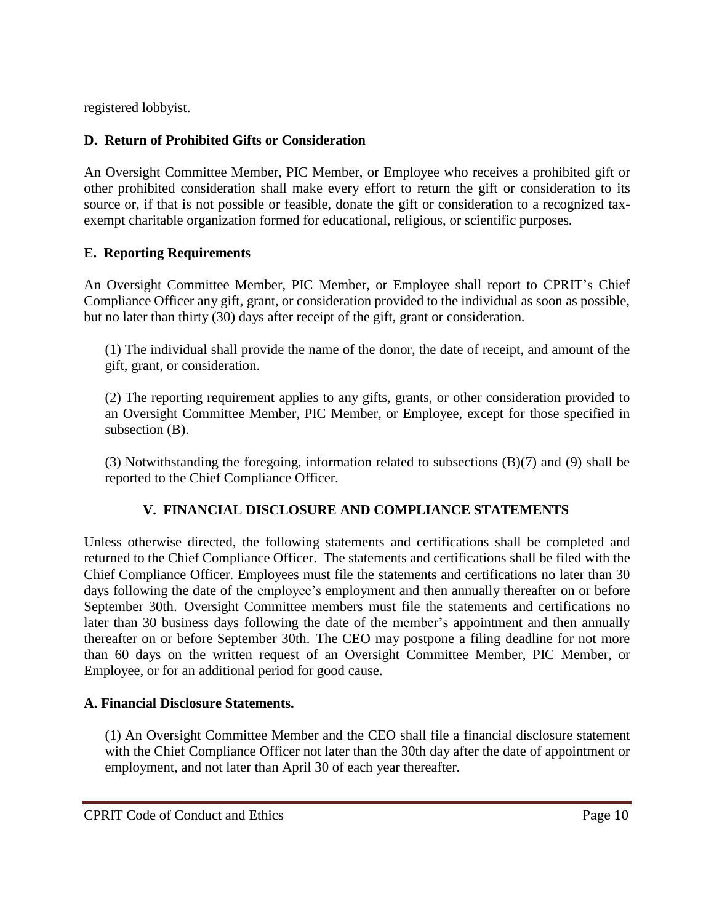registered lobbyist.

# **D. Return of Prohibited Gifts or Consideration**

An Oversight Committee Member, PIC Member, or Employee who receives a prohibited gift or other prohibited consideration shall make every effort to return the gift or consideration to its source or, if that is not possible or feasible, donate the gift or consideration to a recognized taxexempt charitable organization formed for educational, religious, or scientific purposes.

## **E. Reporting Requirements**

An Oversight Committee Member, PIC Member, or Employee shall report to CPRIT's Chief Compliance Officer any gift, grant, or consideration provided to the individual as soon as possible, but no later than thirty (30) days after receipt of the gift, grant or consideration.

(1) The individual shall provide the name of the donor, the date of receipt, and amount of the gift, grant, or consideration.

(2) The reporting requirement applies to any gifts, grants, or other consideration provided to an Oversight Committee Member, PIC Member, or Employee, except for those specified in subsection (B).

(3) Notwithstanding the foregoing, information related to subsections (B)(7) and (9) shall be reported to the Chief Compliance Officer.

# **V. FINANCIAL DISCLOSURE AND COMPLIANCE STATEMENTS**

Unless otherwise directed, the following statements and certifications shall be completed and returned to the Chief Compliance Officer. The statements and certifications shall be filed with the Chief Compliance Officer. Employees must file the statements and certifications no later than 30 days following the date of the employee's employment and then annually thereafter on or before September 30th. Oversight Committee members must file the statements and certifications no later than 30 business days following the date of the member's appointment and then annually thereafter on or before September 30th. The CEO may postpone a filing deadline for not more than 60 days on the written request of an Oversight Committee Member, PIC Member, or Employee, or for an additional period for good cause.

## **A. Financial Disclosure Statements.**

(1) An Oversight Committee Member and the CEO shall file a financial disclosure statement with the Chief Compliance Officer not later than the 30th day after the date of appointment or employment, and not later than April 30 of each year thereafter.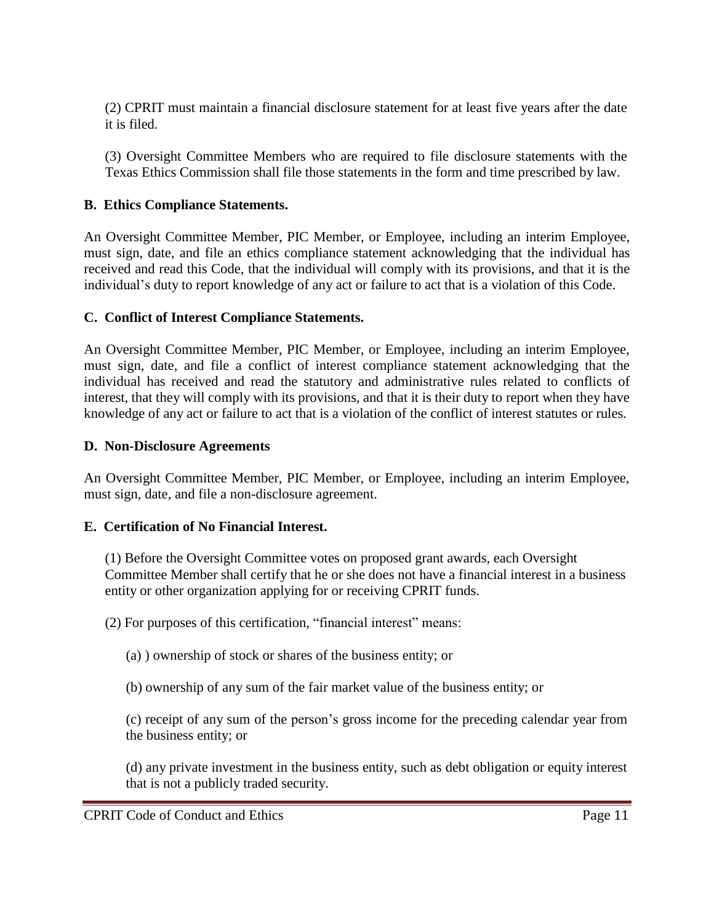(2) CPRIT must maintain a financial disclosure statement for at least five years after the date it is filed.

(3) Oversight Committee Members who are required to file disclosure statements with the Texas Ethics Commission shall file those statements in the form and time prescribed by law.

### **B. Ethics Compliance Statements.**

An Oversight Committee Member, PIC Member, or Employee, including an interim Employee, must sign, date, and file an ethics compliance statement acknowledging that the individual has received and read this Code, that the individual will comply with its provisions, and that it is the individual's duty to report knowledge of any act or failure to act that is a violation of this Code.

### **C. Conflict of Interest Compliance Statements.**

An Oversight Committee Member, PIC Member, or Employee, including an interim Employee, must sign, date, and file a conflict of interest compliance statement acknowledging that the individual has received and read the statutory and administrative rules related to conflicts of interest, that they will comply with its provisions, and that it is their duty to report when they have knowledge of any act or failure to act that is a violation of the conflict of interest statutes or rules.

#### **D. Non-Disclosure Agreements**

An Oversight Committee Member, PIC Member, or Employee, including an interim Employee, must sign, date, and file a non-disclosure agreement.

#### **E. Certification of No Financial Interest.**

(1) Before the Oversight Committee votes on proposed grant awards, each Oversight Committee Member shall certify that he or she does not have a financial interest in a business entity or other organization applying for or receiving CPRIT funds.

(2) For purposes of this certification, "financial interest" means:

(a) ) ownership of stock or shares of the business entity; or

(b) ownership of any sum of the fair market value of the business entity; or

(c) receipt of any sum of the person's gross income for the preceding calendar year from the business entity; or

(d) any private investment in the business entity, such as debt obligation or equity interest that is not a publicly traded security.